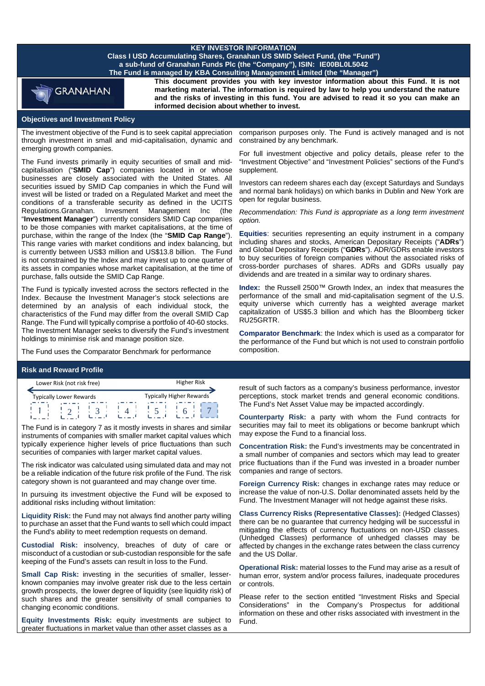# **KEY INVESTOR INFORMATION**

**Class I USD Accumulating Shares, Granahan US SMID Select Fund, (the "Fund") a sub-fund of Granahan Funds Plc (the "Company"), ISIN: IE00BL0L5042 The Fund is managed by KBA Consulting Management Limited (the "Manager")**



**This document provides you with key investor information about this Fund. It is not marketing material. The information is required by law to help you understand the nature and the risks of investing in this fund. You are advised to read it so you can make an informed decision about whether to invest.**

## **Objectives and Investment Policy**

The investment objective of the Fund is to seek capital appreciation through investment in small and mid-capitalisation, dynamic and emerging growth companies.

The Fund invests primarily in equity securities of small and midcapitalisation ("**SMID Cap**") companies located in or whose businesses are closely associated with the United States. All securities issued by SMID Cap companies in which the Fund will invest will be listed or traded on a Regulated Market and meet the conditions of a transferable security as defined in the UCITS Regulations.Granahan. Invesment Management Inc (the "**Investment Manager**") currently considers SMID Cap companies to be those companies with market capitalisations, at the time of purchase, within the range of the Index (the "**SMID Cap Range**"). This range varies with market conditions and index balancing, but is currently between US\$3 million and US\$13.8 billion. The Fund is not constrained by the Index and may invest up to one quarter of its assets in companies whose market capitalisation, at the time of purchase, falls outside the SMID Cap Range.

The Fund is typically invested across the sectors reflected in the Index. Because the Investment Manager's stock selections are determined by an analysis of each individual stock, the characteristics of the Fund may differ from the overall SMID Cap Range. The Fund will typically comprise a portfolio of 40-60 stocks. The Investment Manager seeks to diversify the Fund's investment holdings to minimise risk and manage position size.

The Fund uses the Comparator Benchmark for performance

#### **Risk and Reward Profile**

| Lower Risk (not risk free) |                                |  |  | <b>Higher Risk</b> |                          |
|----------------------------|--------------------------------|--|--|--------------------|--------------------------|
|                            | <b>Typically Lower Rewards</b> |  |  |                    | Typically Higher Rewards |
|                            |                                |  |  |                    |                          |

The Fund is in category 7 as it mostly invests in shares and similar instruments of companies with smaller market capital values which typically experience higher levels of price fluctuations than such securities of companies with larger market capital values.

The risk indicator was calculated using simulated data and may not be a reliable indication of the future risk profile of the Fund. The risk category shown is not guaranteed and may change over time.

In pursuing its investment objective the Fund will be exposed to additional risks including without limitation:

**Liquidity Risk:** the Fund may not always find another party willing to purchase an asset that the Fund wants to sell which could impact the Fund's ability to meet redemption requests on demand.

**Custodial Risk:** insolvency, breaches of duty of care or misconduct of a custodian or sub-custodian responsible for the safe keeping of the Fund's assets can result in loss to the Fund.

**Small Cap Risk:** investing in the securities of smaller, lesserknown companies may involve greater risk due to the less certain growth prospects, the lower degree of liquidity (see liquidity risk) of such shares and the greater sensitivity of small companies to changing economic conditions.

**Equity Investments Risk:** equity investments are subject to greater fluctuations in market value than other asset classes as a

comparison purposes only. The Fund is actively managed and is not constrained by any benchmark.

For full investment objective and policy details, please refer to the "Investment Objective" and "Investment Policies" sections of the Fund's supplement.

Investors can redeem shares each day (except Saturdays and Sundays and normal bank holidays) on which banks in Dublin and New York are open for regular business.

*Recommendation: This Fund is appropriate as a long term investment option.* 

**Equities**: securities representing an equity instrument in a company including shares and stocks, American Depositary Receipts ("**ADRs**") and Global Depositary Receipts ("**GDRs**"). ADR/GDRs enable investors to buy securities of foreign companies without the associated risks of cross-border purchases of shares. ADRs and GDRs usually pay dividends and are treated in a similar way to ordinary shares.

**Index:** the Russell 2500™ Growth Index, an index that measures the performance of the small and mid-capitalisation segment of the U.S. equity universe which currently has a weighted average market capitalization of US\$5.3 billion and which has the Bloomberg ticker RU25GRTR.

**Comparator Benchmark**: the Index which is used as a comparator for the performance of the Fund but which is not used to constrain portfolio composition.

result of such factors as a company's business performance, investor perceptions, stock market trends and general economic conditions. The Fund's Net Asset Value may be impacted accordingly.

**Counterparty Risk:** a party with whom the Fund contracts for securities may fail to meet its obligations or become bankrupt which may expose the Fund to a financial loss.

**Concentration Risk:** the Fund's investments may be concentrated in a small number of companies and sectors which may lead to greater price fluctuations than if the Fund was invested in a broader number companies and range of sectors.

**Foreign Currency Risk:** changes in exchange rates may reduce or increase the value of non-U.S. Dollar denominated assets held by the Fund. The Investment Manager will not hedge against these risks.

**Class Currency Risks (Representative Classes):** (Hedged Classes) there can be no guarantee that currency hedging will be successful in mitigating the effects of currency fluctuations on non-USD classes. (Unhedged Classes) performance of unhedged classes may be affected by changes in the exchange rates between the class currency and the US Dollar.

**Operational Risk:** material losses to the Fund may arise as a result of human error, system and/or process failures, inadequate procedures or controls.

Please refer to the section entitled "Investment Risks and Special Considerations" in the Company's Prospectus for additional information on these and other risks associated with investment in the Fund.